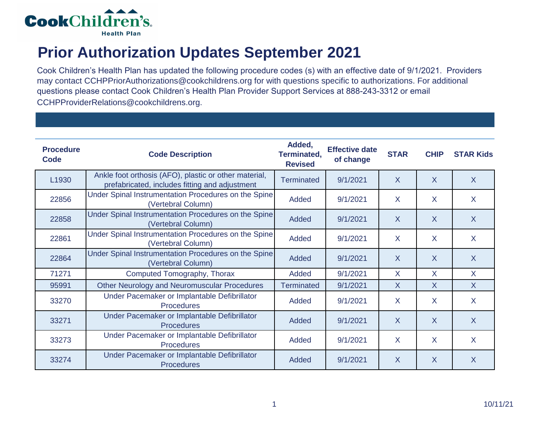

## **Prior Authorization Updates September 2021**

Cook Children's Health Plan has updated the following procedure codes (s) with an effective date of 9/1/2021. Providers may contact CCHPPriorAuthorizations@cookchildrens.org for with questions specific to authorizations. For additional questions please contact Cook Children's Health Plan Provider Support Services at 888-243-3312 or email CCHPProviderRelations@cookchildrens.org.

| <b>Procedure</b><br>Code | <b>Code Description</b>                                                                                 | Added,<br>Terminated,<br><b>Revised</b> | <b>Effective date</b><br>of change | <b>STAR</b>    | <b>CHIP</b>    | <b>STAR Kids</b> |
|--------------------------|---------------------------------------------------------------------------------------------------------|-----------------------------------------|------------------------------------|----------------|----------------|------------------|
| L1930                    | Ankle foot orthosis (AFO), plastic or other material,<br>prefabricated, includes fitting and adjustment | <b>Terminated</b>                       | 9/1/2021                           | $\sf X$        | $\overline{X}$ | $\sf X$          |
| 22856                    | Under Spinal Instrumentation Procedures on the Spine<br>(Vertebral Column)                              | Added                                   | 9/1/2021                           | $\sf X$        | $\sf X$        | $\sf X$          |
| 22858                    | Under Spinal Instrumentation Procedures on the Spine<br>(Vertebral Column)                              | Added                                   | 9/1/2021                           | $\overline{X}$ | $\overline{X}$ | $\sf X$          |
| 22861                    | Under Spinal Instrumentation Procedures on the Spine<br>(Vertebral Column)                              | Added                                   | 9/1/2021                           | $\sf X$        | $\sf X$        | $\mathsf{X}$     |
| 22864                    | Under Spinal Instrumentation Procedures on the Spine<br>(Vertebral Column)                              | Added                                   | 9/1/2021                           | $\sf X$        | $\sf X$        | $\overline{X}$   |
| 71271                    | Computed Tomography, Thorax                                                                             | Added                                   | 9/1/2021                           | $\sf X$        | $\sf X$        | X                |
| 95991                    | Other Neurology and Neuromuscular Procedures                                                            | <b>Terminated</b>                       | 9/1/2021                           | $\sf X$        | $\mathsf{X}$   | $\mathsf{X}$     |
| 33270                    | Under Pacemaker or Implantable Defibrillator<br><b>Procedures</b>                                       | Added                                   | 9/1/2021                           | $\sf X$        | $\mathsf{X}$   | $\mathsf{X}$     |
| 33271                    | Under Pacemaker or Implantable Defibrillator<br><b>Procedures</b>                                       | Added                                   | 9/1/2021                           | $\mathsf{X}$   | $\mathsf{X}$   | $\overline{X}$   |
| 33273                    | Under Pacemaker or Implantable Defibrillator<br><b>Procedures</b>                                       | Added                                   | 9/1/2021                           | $\sf X$        | $\mathsf{X}$   | $\mathsf{X}$     |
| 33274                    | Under Pacemaker or Implantable Defibrillator<br><b>Procedures</b>                                       | Added                                   | 9/1/2021                           | $\sf X$        | $\sf X$        | $\mathsf{X}$     |